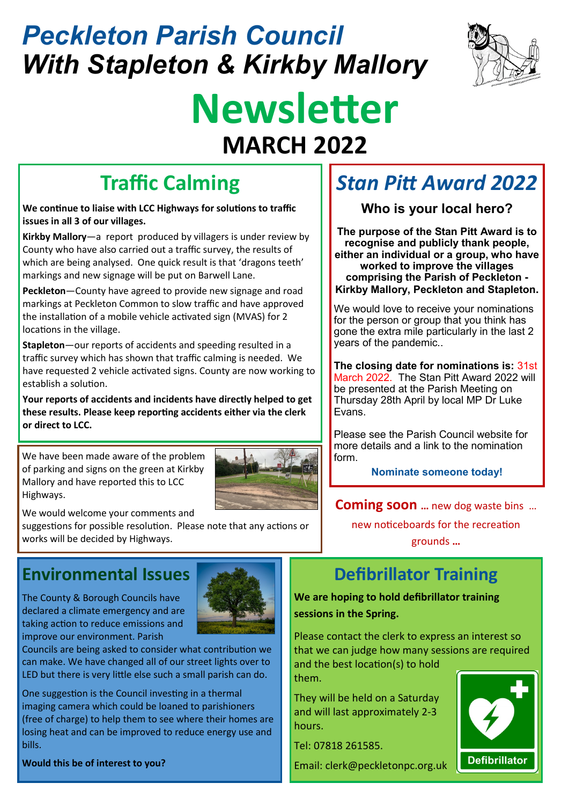# *Peckleton Parish Council With Stapleton & Kirkby Mallory*



# **Newsletter MARCH 2022**

## **Traffic Calming**

**We continue to liaise with LCC Highways for solutions to traffic issues in all 3 of our villages.**

**Kirkby Mallory**—a report produced by villagers is under review by County who have also carried out a traffic survey, the results of which are being analysed. One quick result is that 'dragons teeth' markings and new signage will be put on Barwell Lane.

**Peckleton**—County have agreed to provide new signage and road markings at Peckleton Common to slow traffic and have approved the installation of a mobile vehicle activated sign (MVAS) for 2 locations in the village.

**Stapleton**—our reports of accidents and speeding resulted in a traffic survey which has shown that traffic calming is needed. We have requested 2 vehicle activated signs. County are now working to establish a solution.

**Your reports of accidents and incidents have directly helped to get these results. Please keep reporting accidents either via the clerk or direct to LCC.**

We have been made aware of the problem of parking and signs on the green at Kirkby Mallory and have reported this to LCC Highways.



We would welcome your comments and

suggestions for possible resolution. Please note that any actions or works will be decided by Highways.

#### **Environmental Issues**

The County & Borough Councils have declared a climate emergency and are taking action to reduce emissions and improve our environment. Parish



Councils are being asked to consider what contribution we can make. We have changed all of our street lights over to LED but there is very little else such a small parish can do.

One suggestion is the Council investing in a thermal imaging camera which could be loaned to parishioners (free of charge) to help them to see where their homes are losing heat and can be improved to reduce energy use and bills.

**Would this be of interest to you?**

### *Stan Pitt Award 2022*

**Who is your local hero?**

**The purpose of the Stan Pitt Award is to recognise and publicly thank people, either an individual or a group, who have worked to improve the villages comprising the Parish of Peckleton - Kirkby Mallory, Peckleton and Stapleton.**

We would love to receive your nominations for the person or group that you think has gone the extra mile particularly in the last 2 years of the pandemic..

**The closing date for nominations is:** 31st March 2022. The Stan Pitt Award 2022 will be presented at the Parish Meeting on Thursday 28th April by local MP Dr Luke Evans.

Please see the Parish Council website for more details and a link to the nomination form.

**Nominate someone today!**

**Coming soon …** new dog waste bins …

new noticeboards for the recreation grounds **…** 

### **Defibrillator Training**

**We are hoping to hold defibrillator training sessions in the Spring.**

Please contact the clerk to express an interest so that we can judge how many sessions are required and the best location(s) to hold

them.

They will be held on a Saturday and will last approximately 2-3 hours.

Tel: 07818 261585.

Email: clerk@peckletonpc.org.uk